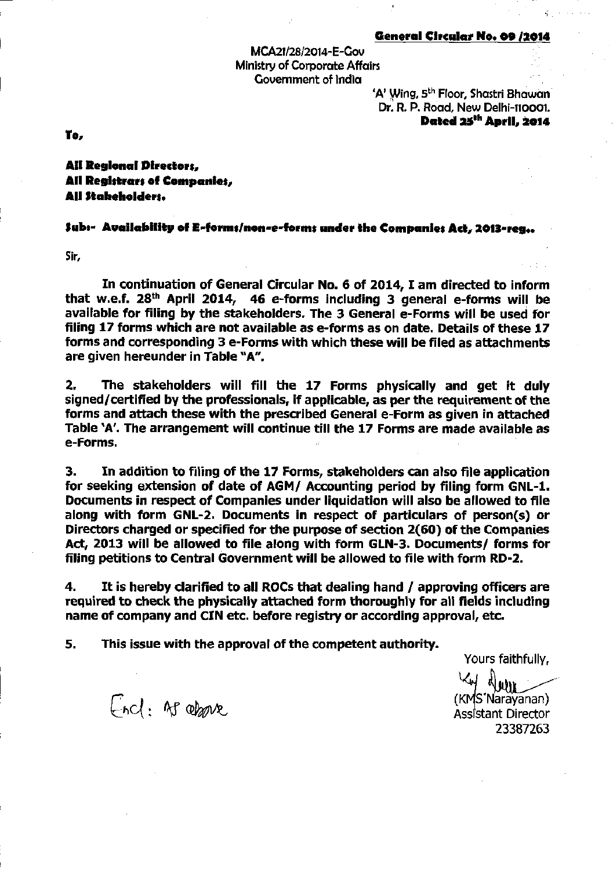## General Circular No. 09 /2014

MCA21/28/2014-E-Gov Ministry of Corporate Affairs Government of India

'A' Wing, 5<sup>th</sup> Floor, Shastri Bhawan Dr. R. P. Road, New Delhi-110001. Dated 25<sup>th</sup> April, 2014

To,

All Regional Directors, All Registrars of Companies, All Stabeholders.

## Jub:- Availability of E-forms/non-e-forms under the Companies Act, 2013-reg.

Sir,

In continuation of General Circular No. 6 of 2014, I am directed to inform that w.e.f. 28<sup>th</sup> April 2014, 46 e-forms including 3 general e-forms will be available for filing by the stakeholders. The 3 General e-Forms will be used for filing 17 forms which are not available as e-forms as on date. Details of these 17 forms and corresponding 3 e-Forms with which these will be filed as attachments are given hereunder in Table "A".

The stakeholders will fill the 17 Forms physically and get it duly  $2.$ signed/certified by the professionals, if applicable, as per the requirement of the forms and attach these with the prescribed General e-Form as given in attached Table 'A'. The arrangement will continue till the 17 Forms are made available as e-Forms.

In addition to filing of the 17 Forms, stakeholders can also file application 3. for seeking extension of date of AGM/ Accounting period by filing form GNL-1. Documents in respect of Companies under liquidation will also be allowed to file along with form GNL-2. Documents in respect of particulars of person(s) or Directors charged or specified for the purpose of section 2(60) of the Companies Act, 2013 will be allowed to file along with form GLN-3. Documents/ forms for filing petitions to Central Government will be allowed to file with form RD-2.

4. It is hereby clarified to all ROCs that dealing hand / approving officers are required to check the physically attached form thoroughly for all fields including name of company and CIN etc. before registry or according approval, etc.

5. This issue with the approval of the competent authority.

Yours faithfully,

End: As above

(KMS'Narayanan) Assistant Director 23387263